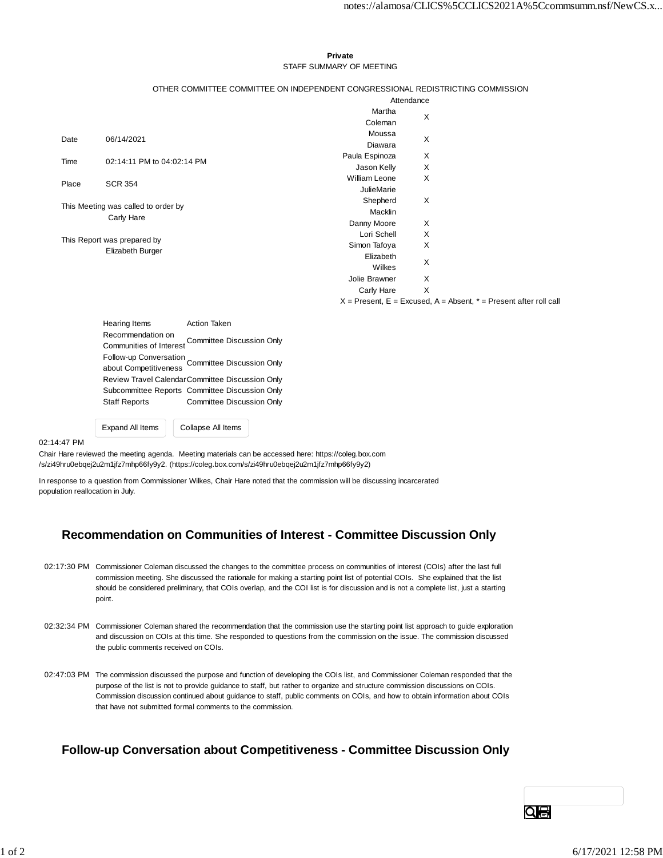#### **Private** STAFF SUMMARY OF MEETING

#### OTHER COMMITTEE COMMITTEE ON INDEPENDENT CONGRESSIONAL REDISTRICTING COMMISSION

|                                                   |                            | Attendance           |   |
|---------------------------------------------------|----------------------------|----------------------|---|
|                                                   |                            | Martha               | X |
|                                                   |                            | Coleman              |   |
| Date                                              | 06/14/2021                 | Moussa               | X |
|                                                   |                            | Diawara              |   |
| Time                                              | 02:14:11 PM to 04:02:14 PM | Paula Espinoza       | X |
|                                                   |                            | Jason Kelly          | X |
| Place                                             | <b>SCR 354</b>             | <b>William Leone</b> | X |
|                                                   |                            | <b>JulieMarie</b>    |   |
| This Meeting was called to order by<br>Carly Hare |                            | Shepherd             | X |
|                                                   |                            | Macklin              |   |
|                                                   |                            | Danny Moore          | X |
| This Report was prepared by                       |                            | Lori Schell          | X |
|                                                   | Elizabeth Burger           | Simon Tafoya         | X |
|                                                   |                            | Elizabeth            | Χ |
|                                                   |                            | Wilkes               |   |
|                                                   |                            | Jolie Brawner        | X |
|                                                   |                            | Carly Hare           | Χ |
|                                                   |                            |                      | . |

 $X =$  Present,  $E =$  Excused,  $A =$  Absent,  $* =$  Present after roll call

Hearing Items **Action Taken** Recommendation on Communities of Interest Committee Discussion Only Follow-up Conversation about Competitiveness Committee Discussion Only Review Travel CalendarCommittee Discussion Only Subcommittee Reports Committee Discussion Only Staff Reports Committee Discussion Only

Expand All Items Collapse All Items

#### 02:14:47 PM

Chair Hare reviewed the meeting agenda. Meeting materials can be accessed here: https://coleg.box.com /s/zi49hru0ebqej2u2m1jfz7mhp66fy9y2. (https://coleg.box.com/s/zi49hru0ebqej2u2m1jfz7mhp66fy9y2)

In response to a question from Commissioner Wilkes, Chair Hare noted that the commission will be discussing incarcerated population reallocation in July.

## **Recommendation on Communities of Interest - Committee Discussion Only**

- 02:17:30 PM Commissioner Coleman discussed the changes to the committee process on communities of interest (COIs) after the last full commission meeting. She discussed the rationale for making a starting point list of potential COIs. She explained that the list should be considered preliminary, that COIs overlap, and the COI list is for discussion and is not a complete list, just a starting point.
- 02:32:34 PM Commissioner Coleman shared the recommendation that the commission use the starting point list approach to guide exploration and discussion on COIs at this time. She responded to questions from the commission on the issue. The commission discussed the public comments received on COIs.
- 02:47:03 PM The commission discussed the purpose and function of developing the COIs list, and Commissioner Coleman responded that the purpose of the list is not to provide guidance to staff, but rather to organize and structure commission discussions on COIs. Commission discussion continued about guidance to staff, public comments on COIs, and how to obtain information about COIs that have not submitted formal comments to the commission.

## **Follow-up Conversation about Competitiveness - Committee Discussion Only**

QIA